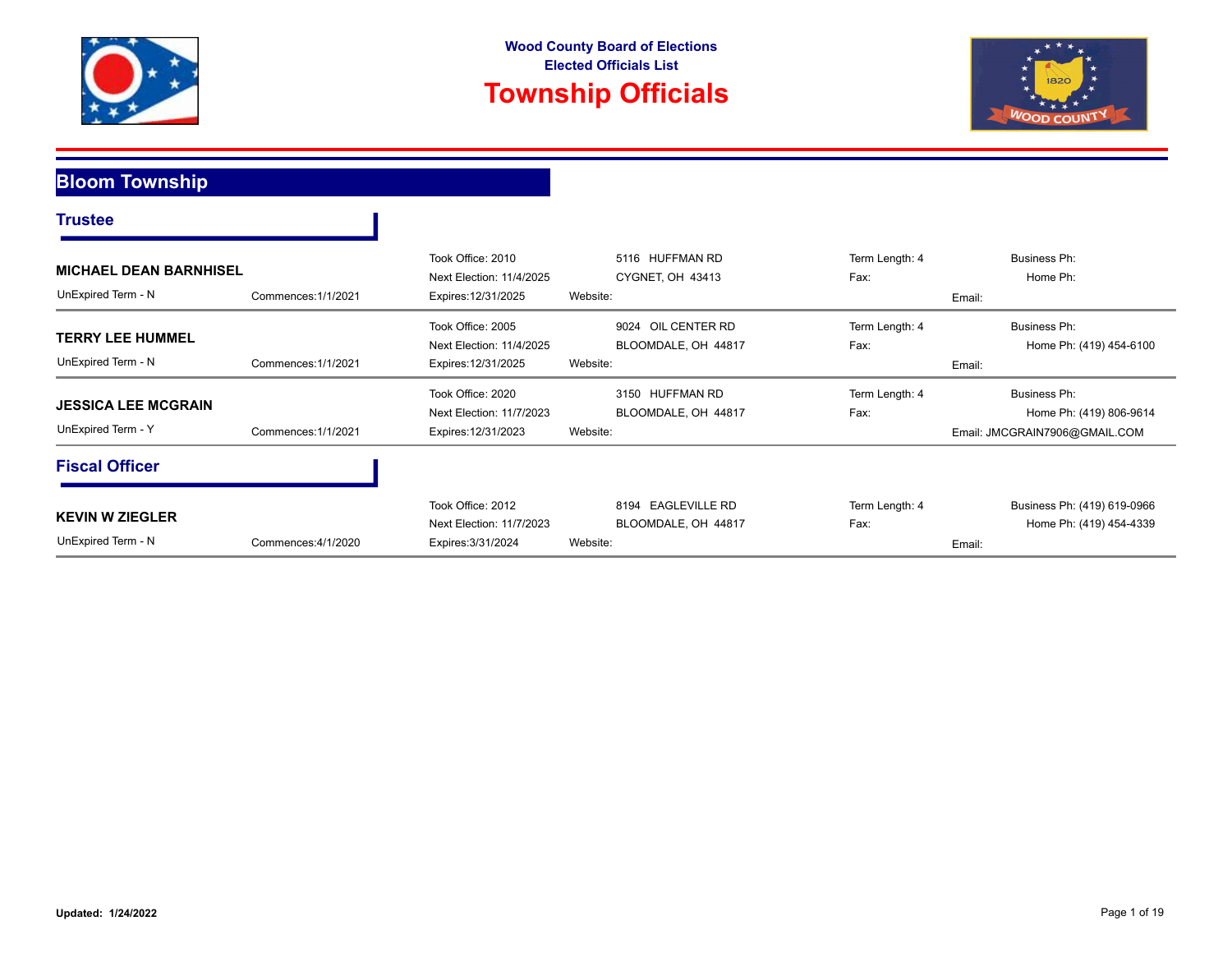





**Bloom Township**

T

|                               |                     | Took Office: 2010        | 5116 HUFFMAN RD     | Term Length: 4 | Business Ph:                  |
|-------------------------------|---------------------|--------------------------|---------------------|----------------|-------------------------------|
| <b>MICHAEL DEAN BARNHISEL</b> |                     | Next Election: 11/4/2025 | CYGNET, OH 43413    | Fax:           | Home Ph:                      |
| UnExpired Term - N            | Commences: 1/1/2021 | Expires: 12/31/2025      | Website:            |                | Email:                        |
|                               |                     | Took Office: 2005        | 9024 OIL CENTER RD  | Term Length: 4 | Business Ph:                  |
| <b>TERRY LEE HUMMEL</b>       |                     | Next Election: 11/4/2025 | BLOOMDALE, OH 44817 | Fax:           | Home Ph: (419) 454-6100       |
| UnExpired Term - N            | Commences: 1/1/2021 | Expires: 12/31/2025      | Website:            |                | Email:                        |
|                               |                     | Took Office: 2020        | 3150 HUFFMAN RD     | Term Length: 4 | Business Ph:                  |
| <b>JESSICA LEE MCGRAIN</b>    |                     | Next Election: 11/7/2023 | BLOOMDALE, OH 44817 | Fax:           | Home Ph: (419) 806-9614       |
| UnExpired Term - Y            | Commences: 1/1/2021 | Expires: 12/31/2023      | Website:            |                | Email: JMCGRAIN7906@GMAIL.COM |
| <b>Fiscal Officer</b>         |                     |                          |                     |                |                               |
|                               |                     | Took Office: 2012        | 8194 EAGLEVILLE RD  | Term Length: 4 | Business Ph: (419) 619-0966   |
| <b>KEVIN W ZIEGLER</b>        |                     | Next Election: 11/7/2023 | BLOOMDALE, OH 44817 | Fax:           | Home Ph: (419) 454-4339       |
| UnExpired Term - N            | Commences: 4/1/2020 | Expires: 3/31/2024       | Website:            |                | Email:                        |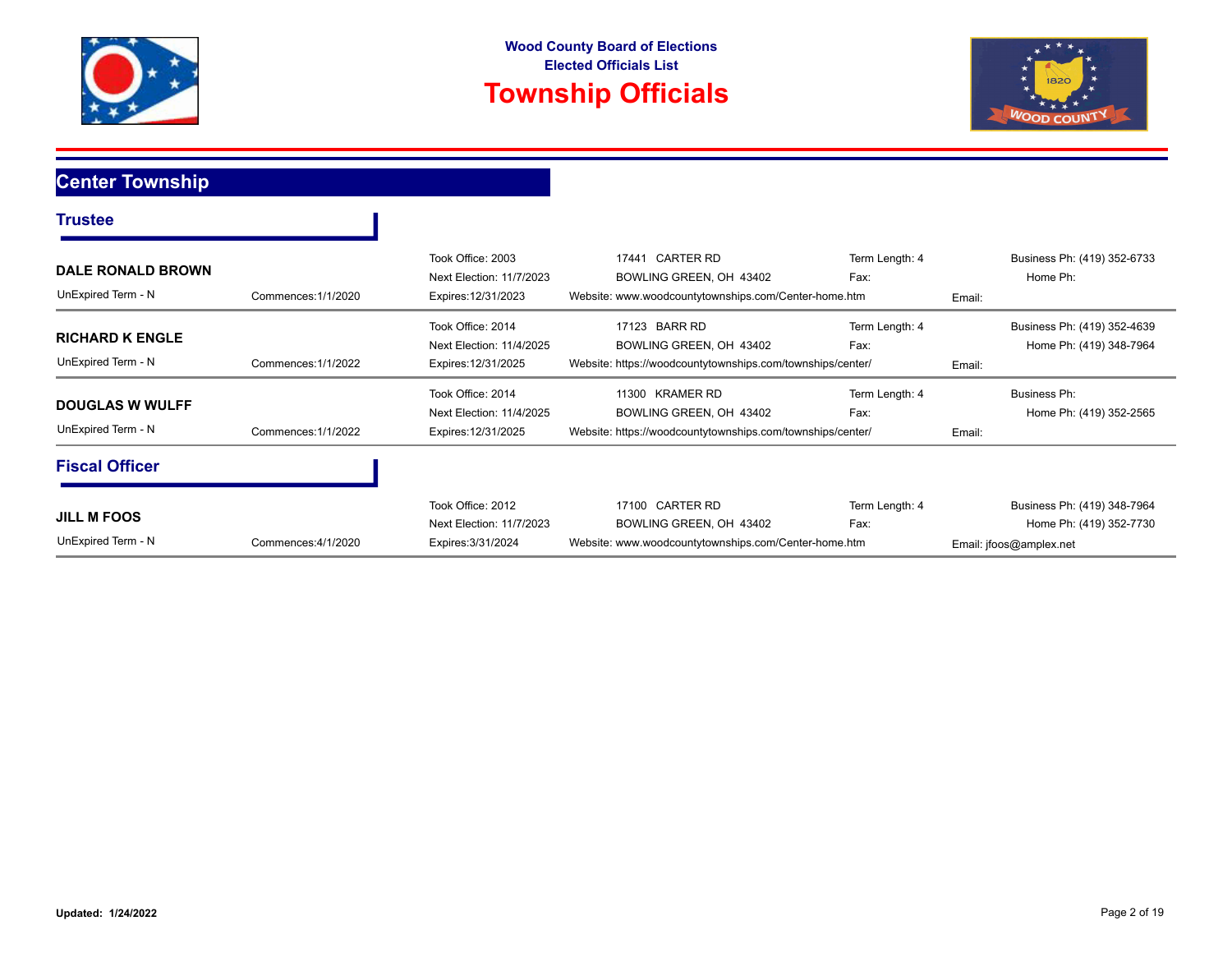



#### **Center Township**

| <b>Trustee</b>                                 |                     |                                                                      |                                                                                                          |                        |        |                                                                                   |
|------------------------------------------------|---------------------|----------------------------------------------------------------------|----------------------------------------------------------------------------------------------------------|------------------------|--------|-----------------------------------------------------------------------------------|
| <b>DALE RONALD BROWN</b><br>UnExpired Term - N | Commences: 1/1/2020 | Took Office: 2003<br>Next Election: 11/7/2023<br>Expires: 12/31/2023 | CARTER RD<br>17441<br>BOWLING GREEN, OH 43402<br>Website: www.woodcountytownships.com/Center-home.htm    | Term Length: 4<br>Fax: | Email: | Business Ph: (419) 352-6733<br>Home Ph:                                           |
| <b>RICHARD K ENGLE</b><br>UnExpired Term - N   | Commences: 1/1/2022 | Took Office: 2014<br>Next Election: 11/4/2025<br>Expires: 12/31/2025 | 17123 BARR RD<br>BOWLING GREEN, OH 43402<br>Website: https://woodcountytownships.com/townships/center/   | Term Length: 4<br>Fax: | Email: | Business Ph: (419) 352-4639<br>Home Ph: (419) 348-7964                            |
| <b>DOUGLAS W WULFF</b><br>UnExpired Term - N   | Commences: 1/1/2022 | Took Office: 2014<br>Next Election: 11/4/2025<br>Expires: 12/31/2025 | 11300 KRAMER RD<br>BOWLING GREEN, OH 43402<br>Website: https://woodcountytownships.com/townships/center/ | Term Length: 4<br>Fax: | Email: | Business Ph:<br>Home Ph: (419) 352-2565                                           |
| <b>Fiscal Officer</b>                          |                     |                                                                      |                                                                                                          |                        |        |                                                                                   |
| <b>JILL M FOOS</b><br>UnExpired Term - N       | Commences: 4/1/2020 | Took Office: 2012<br>Next Election: 11/7/2023<br>Expires: 3/31/2024  | 17100 CARTER RD<br>BOWLING GREEN, OH 43402<br>Website: www.woodcountytownships.com/Center-home.htm       | Term Length: 4<br>Fax: |        | Business Ph: (419) 348-7964<br>Home Ph: (419) 352-7730<br>Email: jfoos@amplex.net |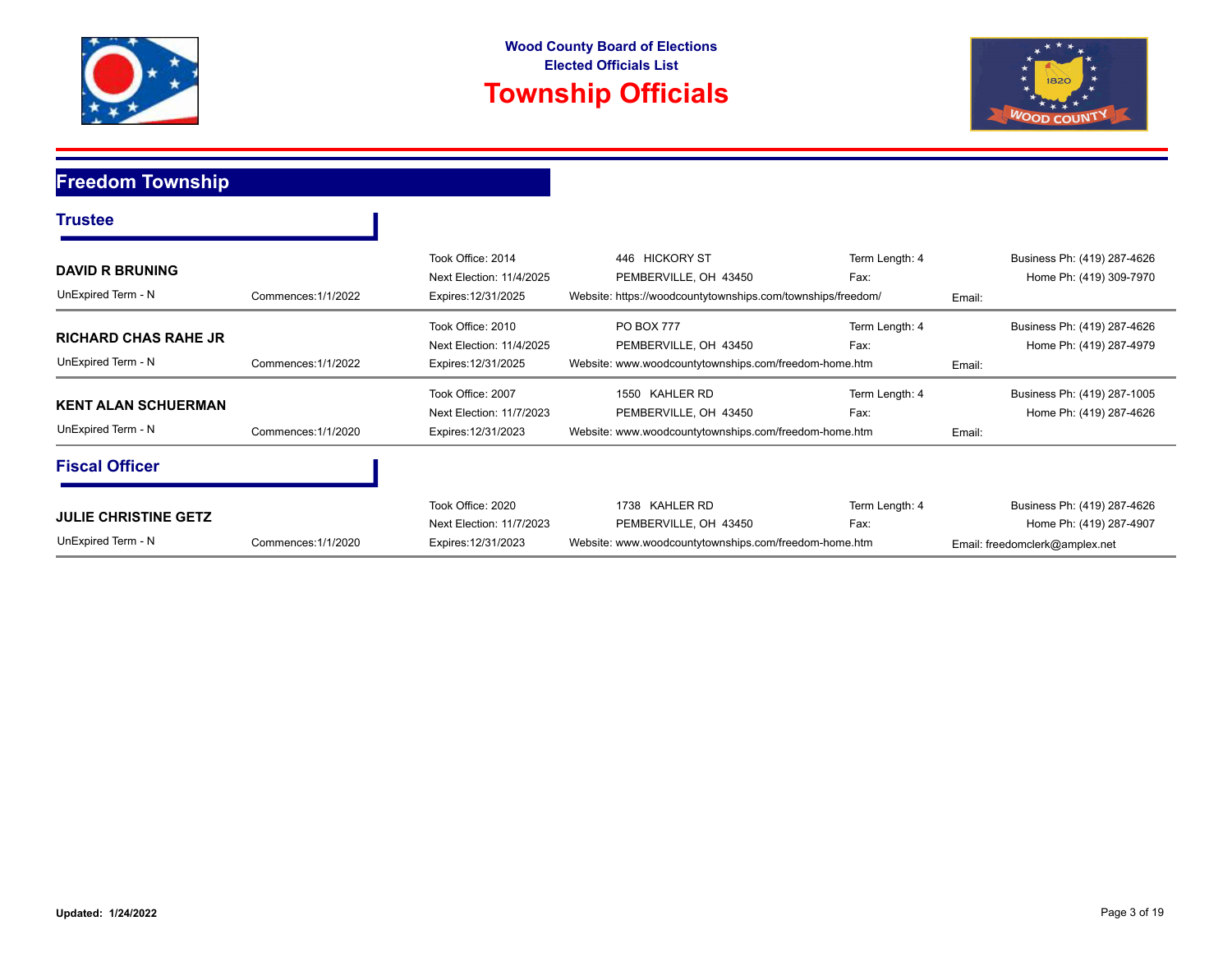



#### **Freedom Township**

| <b>Trustee</b>                                    |                     |                                                                      |                                                                                                        |                        |        |                                                                                          |
|---------------------------------------------------|---------------------|----------------------------------------------------------------------|--------------------------------------------------------------------------------------------------------|------------------------|--------|------------------------------------------------------------------------------------------|
| <b>DAVID R BRUNING</b><br>UnExpired Term - N      | Commences: 1/1/2022 | Took Office: 2014<br>Next Election: 11/4/2025<br>Expires: 12/31/2025 | 446 HICKORY ST<br>PEMBERVILLE, OH 43450<br>Website: https://woodcountytownships.com/townships/freedom/ | Term Length: 4<br>Fax: | Email: | Business Ph: (419) 287-4626<br>Home Ph: (419) 309-7970                                   |
| <b>RICHARD CHAS RAHE JR</b><br>UnExpired Term - N | Commences: 1/1/2022 | Took Office: 2010<br>Next Election: 11/4/2025<br>Expires: 12/31/2025 | <b>PO BOX 777</b><br>PEMBERVILLE, OH 43450<br>Website: www.woodcountytownships.com/freedom-home.htm    | Term Length: 4<br>Fax: | Email: | Business Ph: (419) 287-4626<br>Home Ph: (419) 287-4979                                   |
| <b>KENT ALAN SCHUERMAN</b><br>UnExpired Term - N  | Commences: 1/1/2020 | Took Office: 2007<br>Next Election: 11/7/2023<br>Expires: 12/31/2023 | KAHLER RD<br>1550<br>PEMBERVILLE, OH 43450<br>Website: www.woodcountytownships.com/freedom-home.htm    | Term Length: 4<br>Fax: | Email: | Business Ph: (419) 287-1005<br>Home Ph: (419) 287-4626                                   |
| <b>Fiscal Officer</b>                             |                     |                                                                      |                                                                                                        |                        |        |                                                                                          |
| <b>JULIE CHRISTINE GETZ</b><br>UnExpired Term - N | Commences: 1/1/2020 | Took Office: 2020<br>Next Election: 11/7/2023<br>Expires: 12/31/2023 | 1738 KAHLER RD<br>PEMBERVILLE, OH 43450<br>Website: www.woodcountytownships.com/freedom-home.htm       | Term Length: 4<br>Fax: |        | Business Ph: (419) 287-4626<br>Home Ph: (419) 287-4907<br>Email: freedomclerk@amplex.net |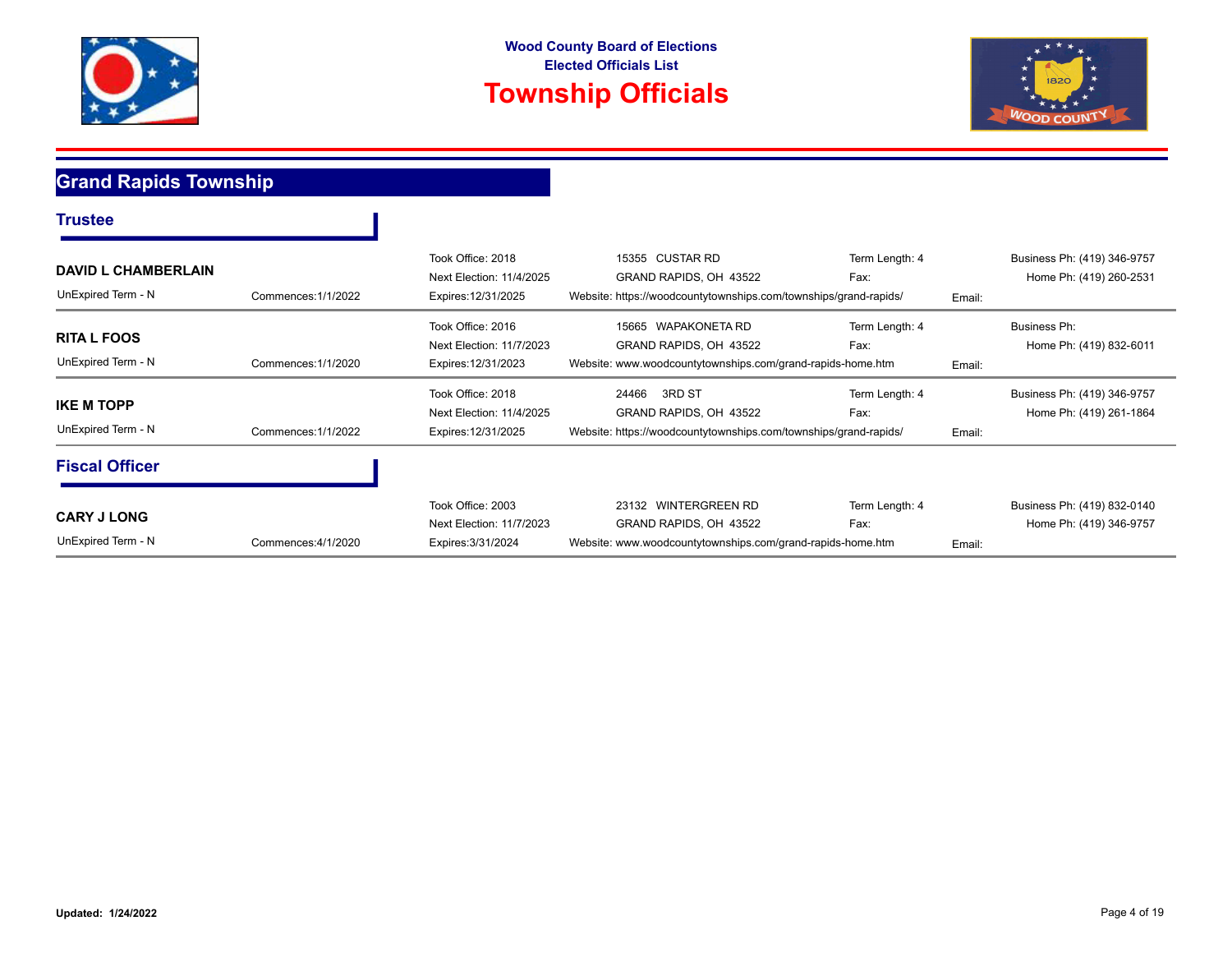



### **Grand Rapids Township**

| Trustee                                          |                     |                                                                      |                                                                                                               |                        |        |                                                        |
|--------------------------------------------------|---------------------|----------------------------------------------------------------------|---------------------------------------------------------------------------------------------------------------|------------------------|--------|--------------------------------------------------------|
| <b>DAVID L CHAMBERLAIN</b><br>UnExpired Term - N | Commences: 1/1/2022 | Took Office: 2018<br>Next Election: 11/4/2025<br>Expires: 12/31/2025 | 15355 CUSTAR RD<br>GRAND RAPIDS, OH 43522<br>Website: https://woodcountytownships.com/townships/grand-rapids/ | Term Length: 4<br>Fax: | Email: | Business Ph: (419) 346-9757<br>Home Ph: (419) 260-2531 |
| <b>RITA L FOOS</b><br>UnExpired Term - N         | Commences: 1/1/2020 | Took Office: 2016<br>Next Election: 11/7/2023<br>Expires: 12/31/2023 | 15665 WAPAKONETA RD<br>GRAND RAPIDS, OH 43522<br>Website: www.woodcountytownships.com/grand-rapids-home.htm   | Term Length: 4<br>Fax: | Email: | Business Ph:<br>Home Ph: (419) 832-6011                |
| <b>IKE M TOPP</b><br>UnExpired Term - N          | Commences: 1/1/2022 | Took Office: 2018<br>Next Election: 11/4/2025<br>Expires: 12/31/2025 | 3RD ST<br>24466<br>GRAND RAPIDS, OH 43522<br>Website: https://woodcountytownships.com/townships/grand-rapids/ | Term Length: 4<br>Fax: | Email: | Business Ph: (419) 346-9757<br>Home Ph: (419) 261-1864 |
| <b>Fiscal Officer</b>                            |                     |                                                                      |                                                                                                               |                        |        |                                                        |
| <b>CARY J LONG</b><br>UnExpired Term - N         | Commences: 4/1/2020 | Took Office: 2003<br>Next Election: 11/7/2023<br>Expires: 3/31/2024  | 23132 WINTERGREEN RD<br>GRAND RAPIDS, OH 43522<br>Website: www.woodcountytownships.com/grand-rapids-home.htm  | Term Length: 4<br>Fax: | Email: | Business Ph: (419) 832-0140<br>Home Ph: (419) 346-9757 |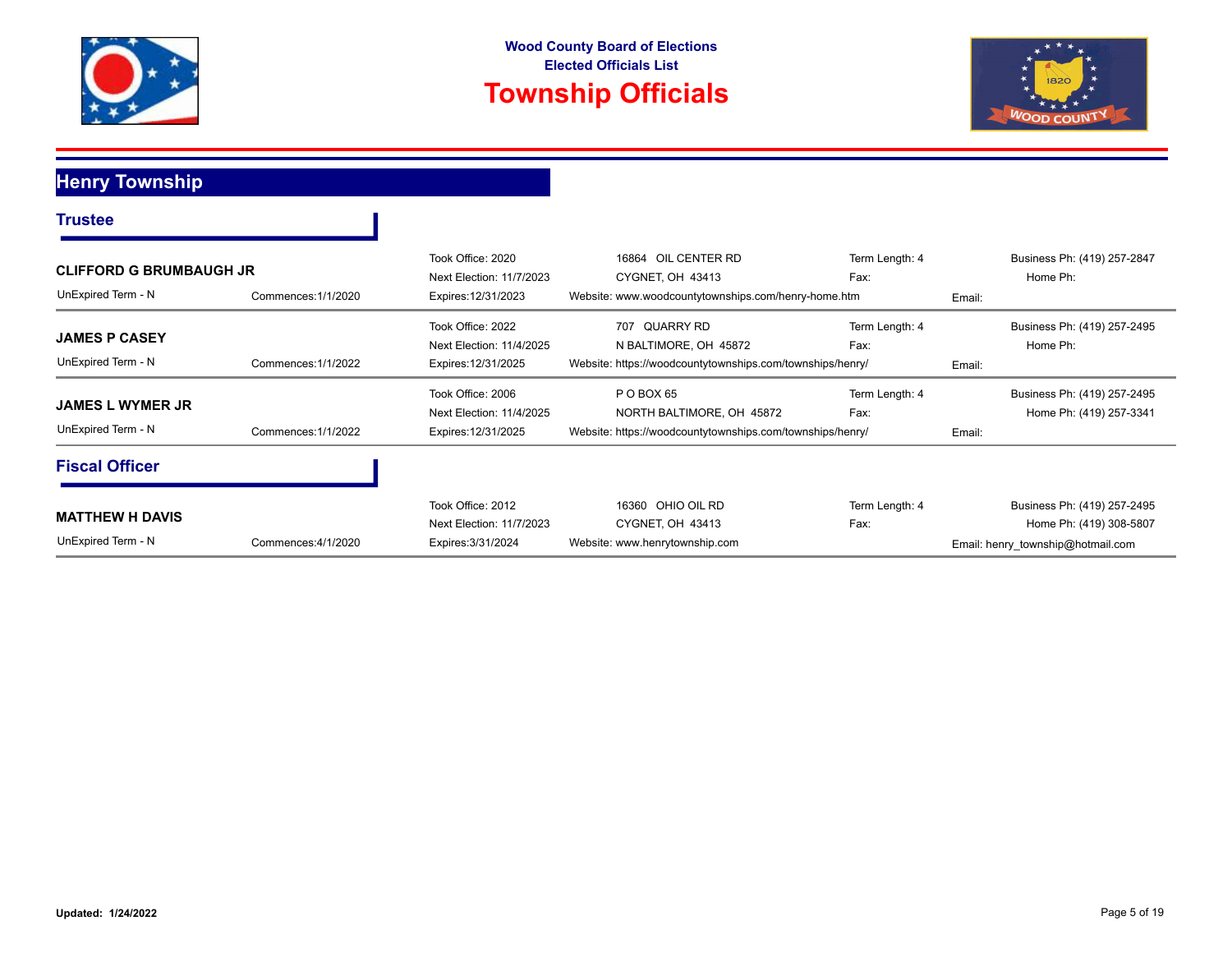



**Henry Township**

| <b>CLIFFORD G BRUMBAUGH JR</b><br>UnExpired Term - N | Commences: 1/1/2020 | Took Office: 2020<br>Next Election: 11/7/2023<br>Expires: 12/31/2023 | 16864 OIL CENTER RD<br>CYGNET, OH 43413<br>Website: www.woodcountytownships.com/henry-home.htm                | Term Length: 4<br>Fax: | Home Ph:<br>Email:                | Business Ph: (419) 257-2847                            |
|------------------------------------------------------|---------------------|----------------------------------------------------------------------|---------------------------------------------------------------------------------------------------------------|------------------------|-----------------------------------|--------------------------------------------------------|
| <b>JAMES P CASEY</b><br>UnExpired Term - N           | Commences: 1/1/2022 | Took Office: 2022<br>Next Election: 11/4/2025<br>Expires: 12/31/2025 | QUARRY RD<br>707<br>N BALTIMORE, OH 45872<br>Website: https://woodcountytownships.com/townships/henry/        | Term Length: 4<br>Fax: | Home Ph:<br>Email:                | Business Ph: (419) 257-2495                            |
| <b>JAMES L WYMER JR</b><br>UnExpired Term - N        | Commences: 1/1/2022 | Took Office: 2006<br>Next Election: 11/4/2025<br>Expires: 12/31/2025 | POBOX <sub>65</sub><br>NORTH BALTIMORE, OH 45872<br>Website: https://woodcountytownships.com/townships/henry/ | Term Length: 4<br>Fax: | Email:                            | Business Ph: (419) 257-2495<br>Home Ph: (419) 257-3341 |
| <b>Fiscal Officer</b>                                |                     |                                                                      |                                                                                                               |                        |                                   |                                                        |
| <b>MATTHEW H DAVIS</b><br>UnExpired Term - N         | Commences: 4/1/2020 | Took Office: 2012<br>Next Election: 11/7/2023<br>Expires: 3/31/2024  | 16360 OHIO OIL RD<br>CYGNET, OH 43413<br>Website: www.henrytownship.com                                       | Term Length: 4<br>Fax: | Email: henry township@hotmail.com | Business Ph: (419) 257-2495<br>Home Ph: (419) 308-5807 |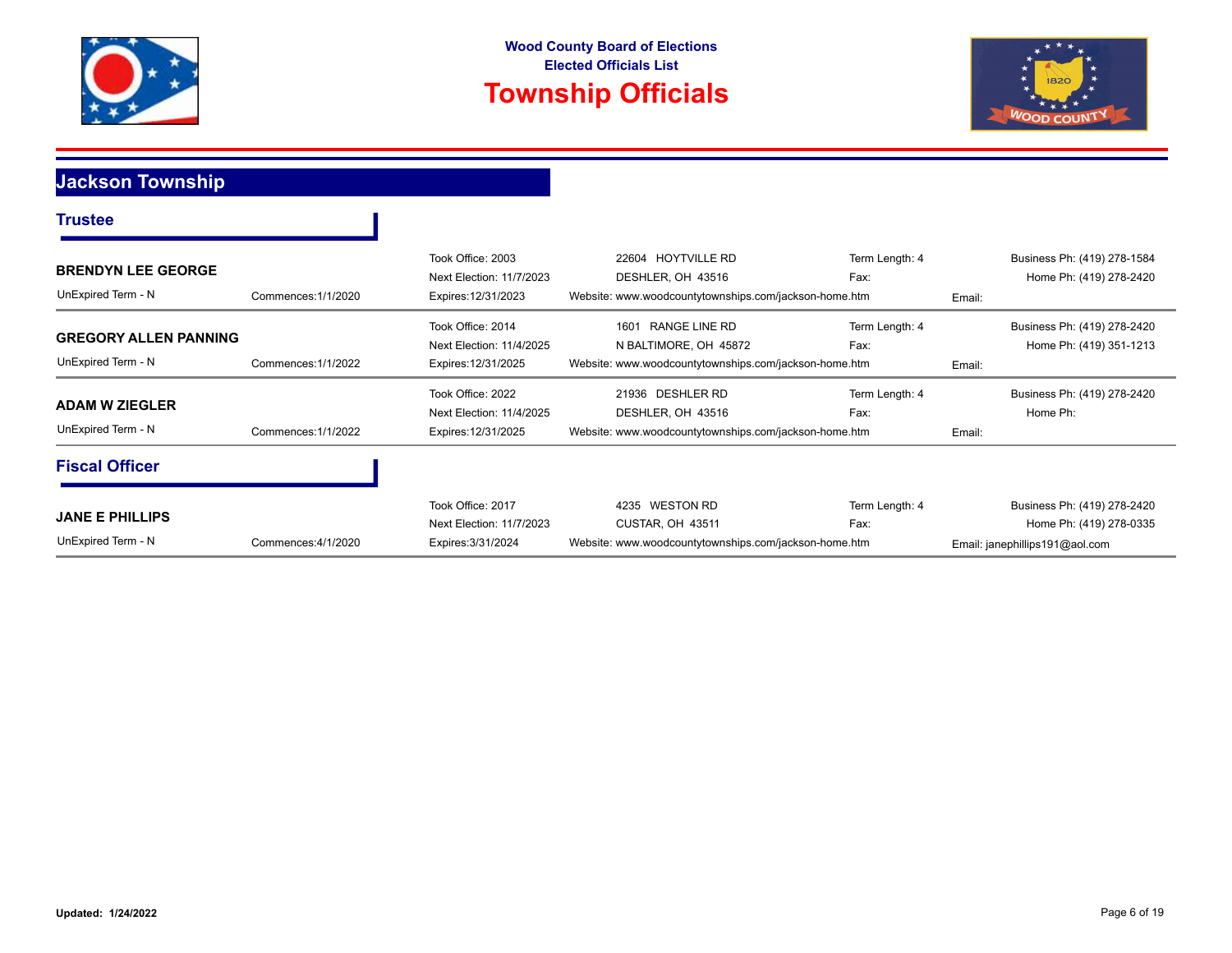



**Jackson Township**

| <b>BRENDYN LEE GEORGE</b><br>UnExpired Term - N    | Commences: 1/1/2020 | Took Office: 2003<br>Next Election: 11/7/2023<br>Expires: 12/31/2023 | 22604 HOYTVILLE RD<br>DESHLER, OH 43516<br>Website: www.woodcountytownships.com/jackson-home.htm        | Term Length: 4<br>Fax: | Business Ph: (419) 278-1584<br>Home Ph: (419) 278-2420<br>Email:                         |  |
|----------------------------------------------------|---------------------|----------------------------------------------------------------------|---------------------------------------------------------------------------------------------------------|------------------------|------------------------------------------------------------------------------------------|--|
| <b>GREGORY ALLEN PANNING</b><br>UnExpired Term - N | Commences: 1/1/2022 | Took Office: 2014<br>Next Election: 11/4/2025<br>Expires: 12/31/2025 | RANGE LINE RD<br>1601<br>N BALTIMORE, OH 45872<br>Website: www.woodcountytownships.com/jackson-home.htm | Term Length: 4<br>Fax: | Business Ph: (419) 278-2420<br>Home Ph: (419) 351-1213<br>Email:                         |  |
| <b>ADAM W ZIEGLER</b><br>UnExpired Term - N        | Commences: 1/1/2022 | Took Office: 2022<br>Next Election: 11/4/2025<br>Expires: 12/31/2025 | 21936 DESHLER RD<br>DESHLER, OH 43516<br>Website: www.woodcountytownships.com/jackson-home.htm          | Term Length: 4<br>Fax: | Business Ph: (419) 278-2420<br>Home Ph:<br>Email:                                        |  |
| <b>Fiscal Officer</b>                              |                     |                                                                      |                                                                                                         |                        |                                                                                          |  |
| <b>JANE E PHILLIPS</b><br>UnExpired Term - N       | Commences: 4/1/2020 | Took Office: 2017<br>Next Election: 11/7/2023<br>Expires: 3/31/2024  | 4235 WESTON RD<br>CUSTAR, OH 43511<br>Website: www.woodcountytownships.com/jackson-home.htm             | Term Length: 4<br>Fax: | Business Ph: (419) 278-2420<br>Home Ph: (419) 278-0335<br>Email: janephillips191@aol.com |  |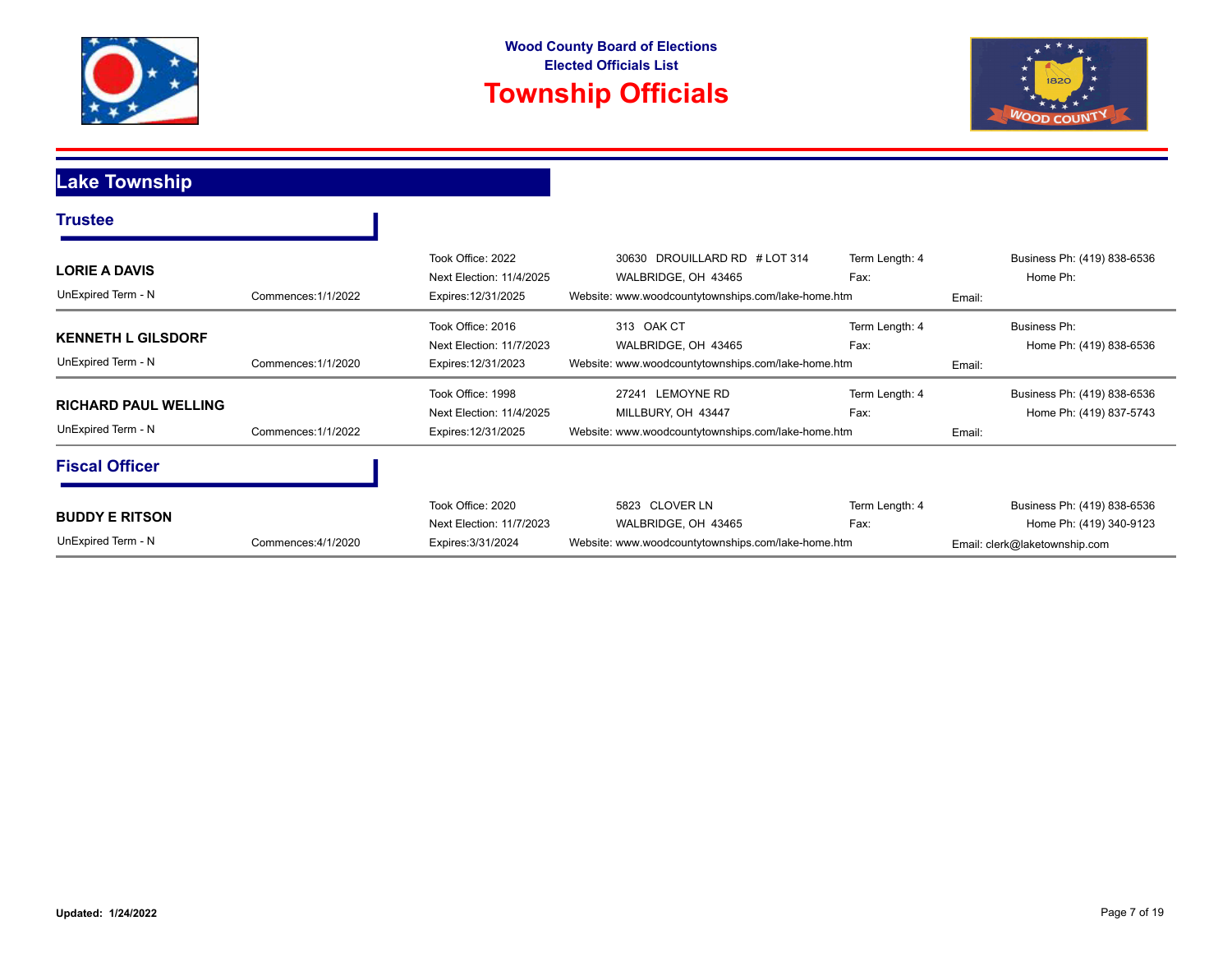



## **Lake Township**

| <b>Trustee</b>                                    |                     |                                                                      |                                                                                                            |                        |        |                                                                                         |
|---------------------------------------------------|---------------------|----------------------------------------------------------------------|------------------------------------------------------------------------------------------------------------|------------------------|--------|-----------------------------------------------------------------------------------------|
| <b>LORIE A DAVIS</b><br>UnExpired Term - N        | Commences: 1/1/2022 | Took Office: 2022<br>Next Election: 11/4/2025<br>Expires: 12/31/2025 | 30630 DROUILLARD RD # LOT 314<br>WALBRIDGE, OH 43465<br>Website: www.woodcountytownships.com/lake-home.htm | Term Length: 4<br>Fax: | Email: | Business Ph: (419) 838-6536<br>Home Ph:                                                 |
| <b>KENNETH L GILSDORF</b><br>UnExpired Term - N   | Commences: 1/1/2020 | Took Office: 2016<br>Next Election: 11/7/2023<br>Expires: 12/31/2023 | 313 OAK CT<br>WALBRIDGE, OH 43465<br>Website: www.woodcountytownships.com/lake-home.htm                    | Term Length: 4<br>Fax: | Email: | <b>Business Ph:</b><br>Home Ph: (419) 838-6536                                          |
| <b>RICHARD PAUL WELLING</b><br>UnExpired Term - N | Commences: 1/1/2022 | Took Office: 1998<br>Next Election: 11/4/2025<br>Expires: 12/31/2025 | 27241 LEMOYNE RD<br>MILLBURY, OH 43447<br>Website: www.woodcountytownships.com/lake-home.htm               | Term Length: 4<br>Fax: | Email: | Business Ph: (419) 838-6536<br>Home Ph: (419) 837-5743                                  |
| <b>Fiscal Officer</b>                             |                     |                                                                      |                                                                                                            |                        |        |                                                                                         |
| <b>BUDDY E RITSON</b><br>UnExpired Term - N       | Commences: 4/1/2020 | Took Office: 2020<br>Next Election: 11/7/2023<br>Expires: 3/31/2024  | 5823 CLOVER LN<br>WALBRIDGE, OH 43465<br>Website: www.woodcountytownships.com/lake-home.htm                | Term Length: 4<br>Fax: |        | Business Ph: (419) 838-6536<br>Home Ph: (419) 340-9123<br>Email: clerk@laketownship.com |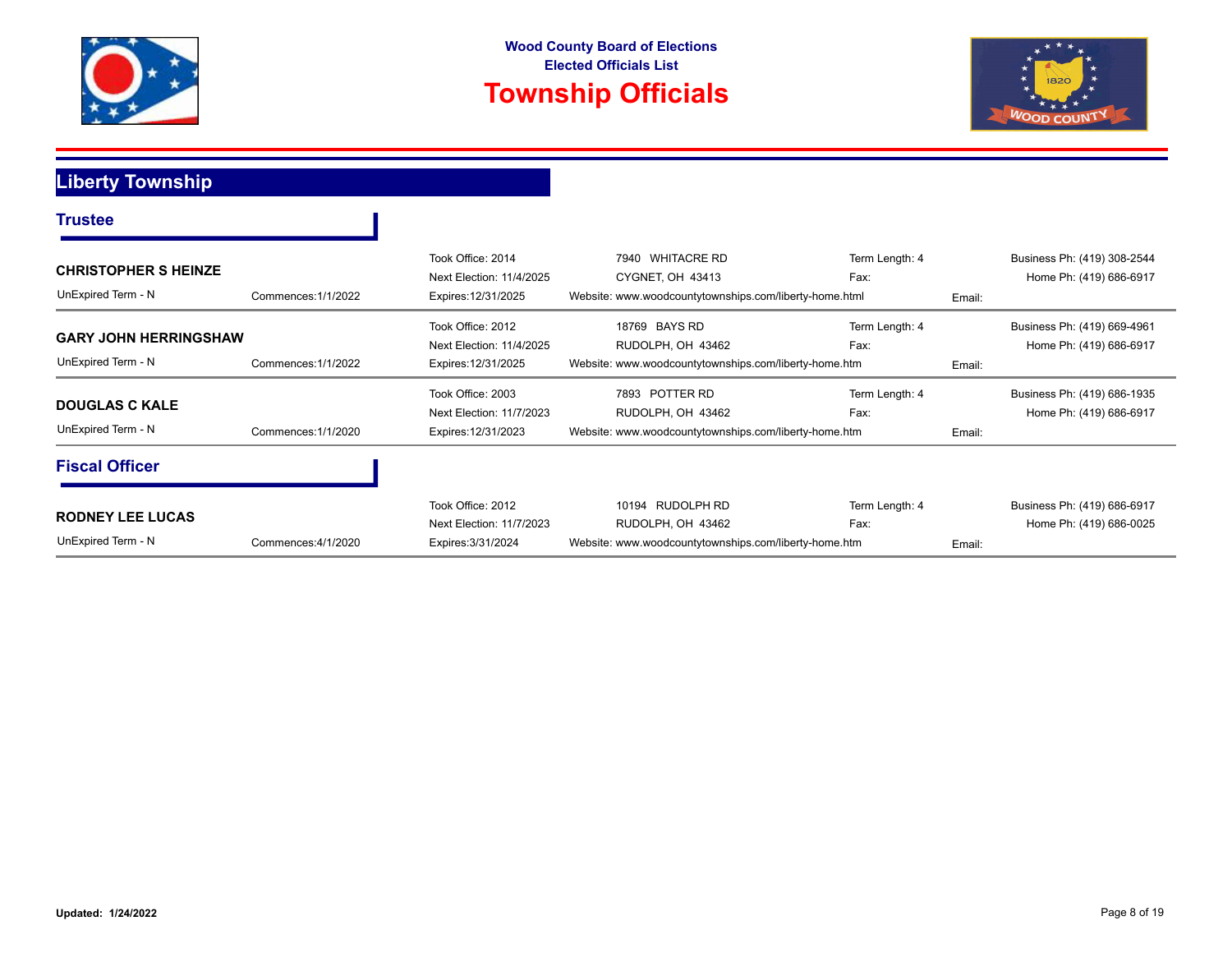



**Liberty Township**

 $\overline{\phantom{a}}$ 

| <b>CHRISTOPHER S HEINZE</b><br>UnExpired Term - N  | Commences: 1/1/2022 | Took Office: 2014<br>Next Election: 11/4/2025<br>Expires: 12/31/2025 | 7940 WHITACRE RD<br>CYGNET, OH 43413<br>Website: www.woodcountytownships.com/liberty-home.html | Term Length: 4<br>Fax: | Email: | Business Ph: (419) 308-2544<br>Home Ph: (419) 686-6917 |
|----------------------------------------------------|---------------------|----------------------------------------------------------------------|------------------------------------------------------------------------------------------------|------------------------|--------|--------------------------------------------------------|
| <b>GARY JOHN HERRINGSHAW</b><br>UnExpired Term - N | Commences: 1/1/2022 | Took Office: 2012<br>Next Election: 11/4/2025<br>Expires: 12/31/2025 | 18769 BAYS RD<br>RUDOLPH, OH 43462<br>Website: www.woodcountytownships.com/liberty-home.htm    | Term Length: 4<br>Fax: | Email: | Business Ph: (419) 669-4961<br>Home Ph: (419) 686-6917 |
| <b>DOUGLAS C KALE</b><br>UnExpired Term - N        | Commences: 1/1/2020 | Took Office: 2003<br>Next Election: 11/7/2023<br>Expires: 12/31/2023 | 7893 POTTER RD<br>RUDOLPH, OH 43462<br>Website: www.woodcountytownships.com/liberty-home.htm   | Term Length: 4<br>Fax: | Email: | Business Ph: (419) 686-1935<br>Home Ph: (419) 686-6917 |
| <b>Fiscal Officer</b>                              |                     |                                                                      |                                                                                                |                        |        |                                                        |
| <b>RODNEY LEE LUCAS</b><br>UnExpired Term - N      | Commences: 4/1/2020 | Took Office: 2012<br>Next Election: 11/7/2023<br>Expires: 3/31/2024  | 10194 RUDOLPH RD<br>RUDOLPH, OH 43462<br>Website: www.woodcountytownships.com/liberty-home.htm | Term Length: 4<br>Fax: | Email: | Business Ph: (419) 686-6917<br>Home Ph: (419) 686-0025 |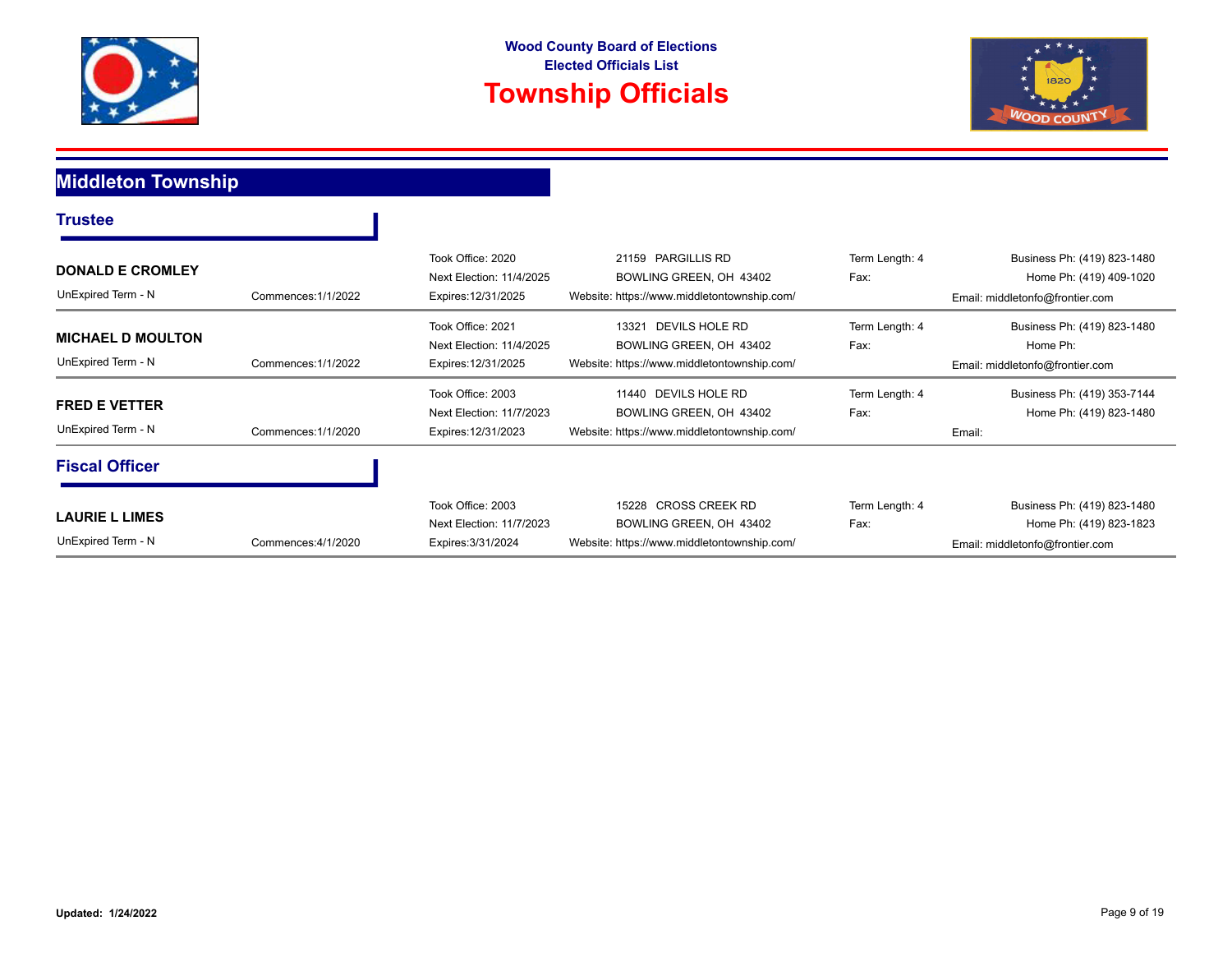



### **Middleton Township**

| <b>Trustee</b>                                 |                     |                                                                      |                                                                                                   |                        |                                                                                           |
|------------------------------------------------|---------------------|----------------------------------------------------------------------|---------------------------------------------------------------------------------------------------|------------------------|-------------------------------------------------------------------------------------------|
| <b>DONALD E CROMLEY</b><br>UnExpired Term - N  | Commences: 1/1/2022 | Took Office: 2020<br>Next Election: 11/4/2025<br>Expires: 12/31/2025 | 21159 PARGILLIS RD<br>BOWLING GREEN, OH 43402<br>Website: https://www.middletontownship.com/      | Term Length: 4<br>Fax: | Business Ph: (419) 823-1480<br>Home Ph: (419) 409-1020<br>Email: middletonfo@frontier.com |
| <b>MICHAEL D MOULTON</b><br>UnExpired Term - N | Commences: 1/1/2022 | Took Office: 2021<br>Next Election: 11/4/2025<br>Expires: 12/31/2025 | DEVILS HOLE RD<br>13321<br>BOWLING GREEN, OH 43402<br>Website: https://www.middletontownship.com/ | Term Length: 4<br>Fax: | Business Ph: (419) 823-1480<br>Home Ph:<br>Email: middletonfo@frontier.com                |
| <b>FRED E VETTER</b><br>UnExpired Term - N     | Commences: 1/1/2020 | Took Office: 2003<br>Next Election: 11/7/2023<br>Expires: 12/31/2023 | 11440 DEVILS HOLE RD<br>BOWLING GREEN, OH 43402<br>Website: https://www.middletontownship.com/    | Term Length: 4<br>Fax: | Business Ph: (419) 353-7144<br>Home Ph: (419) 823-1480<br>Email:                          |
| <b>Fiscal Officer</b>                          |                     |                                                                      |                                                                                                   |                        |                                                                                           |
| <b>LAURIE L LIMES</b><br>UnExpired Term - N    | Commences: 4/1/2020 | Took Office: 2003<br>Next Election: 11/7/2023<br>Expires: 3/31/2024  | 15228 CROSS CREEK RD<br>BOWLING GREEN, OH 43402<br>Website: https://www.middletontownship.com/    | Term Length: 4<br>Fax: | Business Ph: (419) 823-1480<br>Home Ph: (419) 823-1823<br>Email: middletonfo@frontier.com |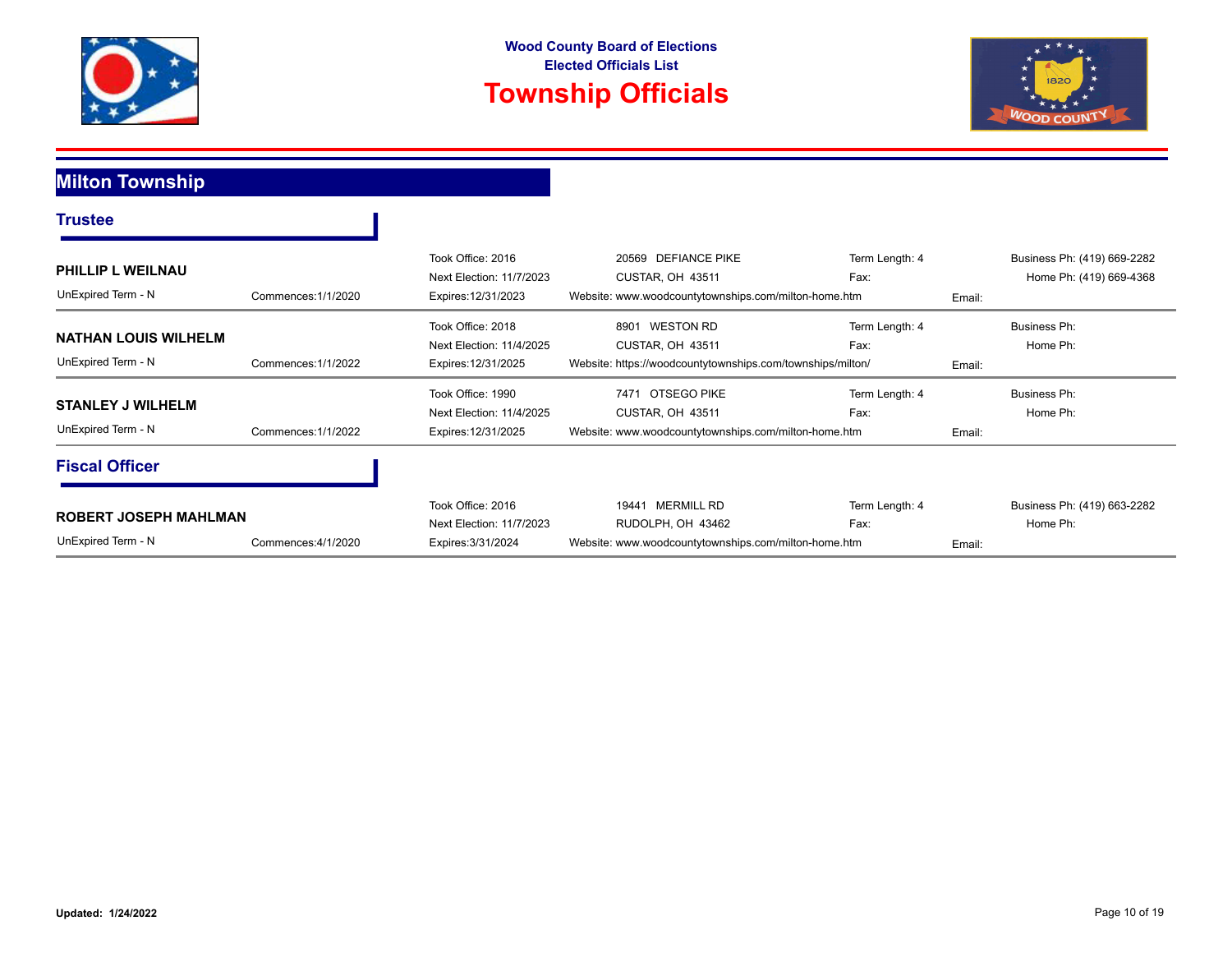



### **Milton Township**

| <b>Trustee</b>                                                            |                     |                                                                      |                                                                                                            |                        |        |                                                        |
|---------------------------------------------------------------------------|---------------------|----------------------------------------------------------------------|------------------------------------------------------------------------------------------------------------|------------------------|--------|--------------------------------------------------------|
| <b>PHILLIP L WEILNAU</b><br>UnExpired Term - N                            | Commences: 1/1/2020 | Took Office: 2016<br>Next Election: 11/7/2023<br>Expires: 12/31/2023 | 20569 DEFIANCE PIKE<br>CUSTAR, OH 43511<br>Website: www.woodcountytownships.com/milton-home.htm            | Term Length: 4<br>Fax: | Email: | Business Ph: (419) 669-2282<br>Home Ph: (419) 669-4368 |
| <b>NATHAN LOUIS WILHELM</b><br>UnExpired Term - N                         | Commences: 1/1/2022 | Took Office: 2018<br>Next Election: 11/4/2025<br>Expires: 12/31/2025 | <b>WESTON RD</b><br>8901<br>CUSTAR, OH 43511<br>Website: https://woodcountytownships.com/townships/milton/ | Term Length: 4<br>Fax: | Email: | Business Ph:<br>Home Ph:                               |
| <b>STANLEY J WILHELM</b><br>UnExpired Term - N                            | Commences: 1/1/2022 | Took Office: 1990<br>Next Election: 11/4/2025<br>Expires: 12/31/2025 | OTSEGO PIKE<br>7471<br>CUSTAR, OH 43511<br>Website: www.woodcountytownships.com/milton-home.htm            | Term Length: 4<br>Fax: | Email: | Business Ph:<br>Home Ph:                               |
| <b>Fiscal Officer</b>                                                     |                     |                                                                      |                                                                                                            |                        |        |                                                        |
| <b>ROBERT JOSEPH MAHLMAN</b><br>UnExpired Term - N<br>Commences: 4/1/2020 |                     | Took Office: 2016<br>Next Election: 11/7/2023<br>Expires: 3/31/2024  | 19441 MERMILL RD<br>RUDOLPH, OH 43462<br>Website: www.woodcountytownships.com/milton-home.htm              | Term Length: 4<br>Fax: | Email: | Business Ph: (419) 663-2282<br>Home Ph:                |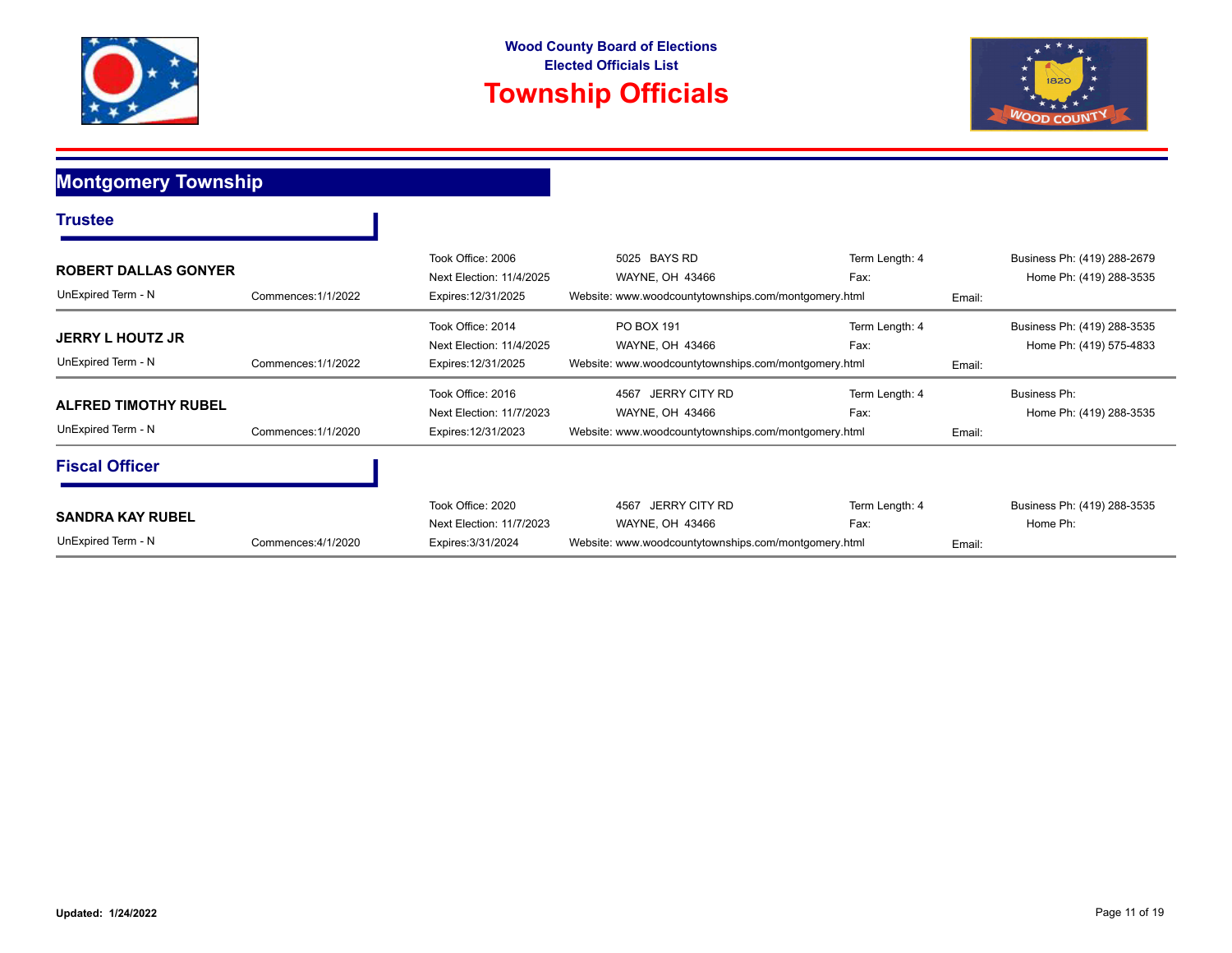



**Montgomery Township**

| <b>Trustee</b>                                    |                     |                                                                      |                                                                                                         |                        |        |                                                        |
|---------------------------------------------------|---------------------|----------------------------------------------------------------------|---------------------------------------------------------------------------------------------------------|------------------------|--------|--------------------------------------------------------|
| <b>ROBERT DALLAS GONYER</b><br>UnExpired Term - N | Commences: 1/1/2022 | Took Office: 2006<br>Next Election: 11/4/2025<br>Expires: 12/31/2025 | 5025 BAYS RD<br>WAYNE, OH 43466<br>Website: www.woodcountytownships.com/montgomery.html                 | Term Length: 4<br>Fax: | Email: | Business Ph: (419) 288-2679<br>Home Ph: (419) 288-3535 |
| <b>JERRY L HOUTZ JR</b><br>UnExpired Term - N     | Commences: 1/1/2022 | Took Office: 2014<br>Next Election: 11/4/2025<br>Expires: 12/31/2025 | PO BOX 191<br>WAYNE, OH 43466<br>Website: www.woodcountytownships.com/montgomery.html                   | Term Length: 4<br>Fax: | Email: | Business Ph: (419) 288-3535<br>Home Ph: (419) 575-4833 |
| <b>ALFRED TIMOTHY RUBEL</b><br>UnExpired Term - N | Commences: 1/1/2020 | Took Office: 2016<br>Next Election: 11/7/2023<br>Expires: 12/31/2023 | <b>JERRY CITY RD</b><br>4567<br>WAYNE, OH 43466<br>Website: www.woodcountytownships.com/montgomery.html | Term Length: 4<br>Fax: | Email: | Business Ph:<br>Home Ph: (419) 288-3535                |
| <b>Fiscal Officer</b>                             |                     |                                                                      |                                                                                                         |                        |        |                                                        |
| <b>SANDRA KAY RUBEL</b><br>UnExpired Term - N     | Commences: 4/1/2020 | Took Office: 2020<br>Next Election: 11/7/2023<br>Expires: 3/31/2024  | JERRY CITY RD<br>4567<br>WAYNE, OH 43466<br>Website: www.woodcountytownships.com/montgomery.html        | Term Length: 4<br>Fax: | Email: | Business Ph: (419) 288-3535<br>Home Ph:                |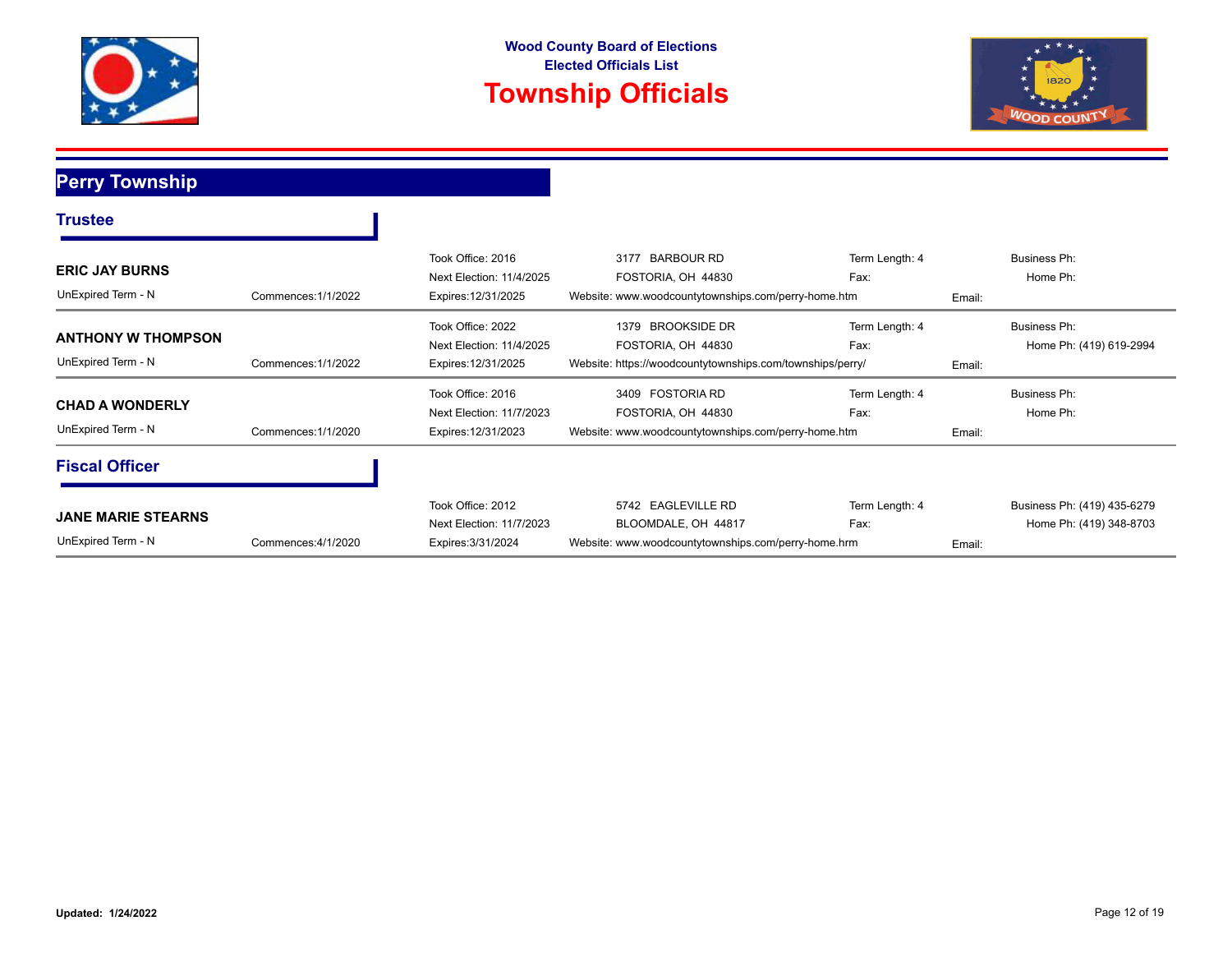



# **Perry Township**

| <b>Trustee</b>                                  |                     |                                                                      |                                                                                                        |                        |        |                                                        |
|-------------------------------------------------|---------------------|----------------------------------------------------------------------|--------------------------------------------------------------------------------------------------------|------------------------|--------|--------------------------------------------------------|
| <b>ERIC JAY BURNS</b><br>UnExpired Term - N     | Commences: 1/1/2022 | Took Office: 2016<br>Next Election: 11/4/2025<br>Expires: 12/31/2025 | <b>BARBOUR RD</b><br>3177<br>FOSTORIA, OH 44830<br>Website: www.woodcountytownships.com/perry-home.htm | Term Length: 4<br>Fax: | Email: | Business Ph:<br>Home Ph:                               |
| <b>ANTHONY W THOMPSON</b><br>UnExpired Term - N | Commences: 1/1/2022 | Took Office: 2022<br>Next Election: 11/4/2025<br>Expires: 12/31/2025 | 1379 BROOKSIDE DR<br>FOSTORIA, OH 44830<br>Website: https://woodcountytownships.com/townships/perry/   | Term Length: 4<br>Fax: | Email: | <b>Business Ph:</b><br>Home Ph: (419) 619-2994         |
| <b>CHAD A WONDERLY</b><br>UnExpired Term - N    | Commences: 1/1/2020 | Took Office: 2016<br>Next Election: 11/7/2023<br>Expires: 12/31/2023 | 3409 FOSTORIA RD<br>FOSTORIA, OH 44830<br>Website: www.woodcountytownships.com/perry-home.htm          | Term Length: 4<br>Fax: | Email: | Business Ph:<br>Home Ph:                               |
| <b>Fiscal Officer</b>                           |                     |                                                                      |                                                                                                        |                        |        |                                                        |
| <b>JANE MARIE STEARNS</b><br>UnExpired Term - N | Commences: 4/1/2020 | Took Office: 2012<br>Next Election: 11/7/2023<br>Expires: 3/31/2024  | 5742 EAGLEVILLE RD<br>BLOOMDALE, OH 44817<br>Website: www.woodcountytownships.com/perry-home.hrm       | Term Length: 4<br>Fax: | Email: | Business Ph: (419) 435-6279<br>Home Ph: (419) 348-8703 |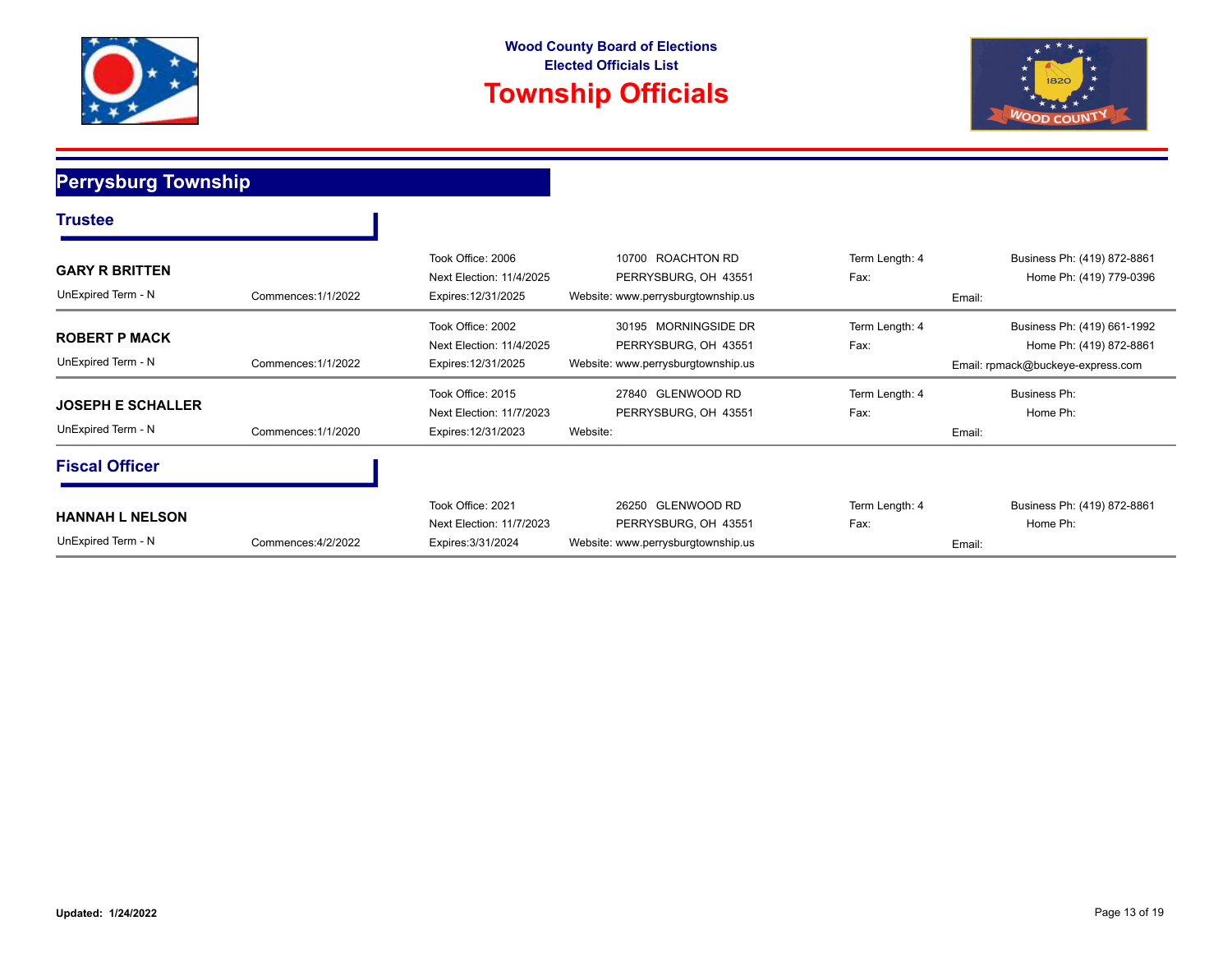



### **Perrysburg Township**

| <b>Trustee</b>                                 |                     |                                                                      |                                                                                    |                                  |                                                                                             |
|------------------------------------------------|---------------------|----------------------------------------------------------------------|------------------------------------------------------------------------------------|----------------------------------|---------------------------------------------------------------------------------------------|
| <b>GARY R BRITTEN</b><br>UnExpired Term - N    | Commences: 1/1/2022 | Took Office: 2006<br>Next Election: 11/4/2025<br>Expires: 12/31/2025 | 10700 ROACHTON RD<br>PERRYSBURG, OH 43551<br>Website: www.perrysburgtownship.us    | Term Length: 4<br>Fax:<br>Email: | Business Ph: (419) 872-8861<br>Home Ph: (419) 779-0396                                      |
| <b>ROBERT P MACK</b><br>UnExpired Term - N     | Commences: 1/1/2022 | Took Office: 2002<br>Next Election: 11/4/2025<br>Expires: 12/31/2025 | 30195 MORNINGSIDE DR<br>PERRYSBURG, OH 43551<br>Website: www.perrysburgtownship.us | Term Length: 4<br>Fax:           | Business Ph: (419) 661-1992<br>Home Ph: (419) 872-8861<br>Email: rpmack@buckeye-express.com |
| <b>JOSEPH E SCHALLER</b><br>UnExpired Term - N | Commences: 1/1/2020 | Took Office: 2015<br>Next Election: 11/7/2023<br>Expires: 12/31/2023 | 27840 GLENWOOD RD<br>PERRYSBURG, OH 43551<br>Website:                              | Term Length: 4<br>Fax:<br>Email: | Business Ph:<br>Home Ph:                                                                    |
| <b>Fiscal Officer</b>                          |                     |                                                                      |                                                                                    |                                  |                                                                                             |
| <b>HANNAH L NELSON</b><br>UnExpired Term - N   | Commences: 4/2/2022 | Took Office: 2021<br>Next Election: 11/7/2023<br>Expires: 3/31/2024  | 26250 GLENWOOD RD<br>PERRYSBURG, OH 43551<br>Website: www.perrysburgtownship.us    | Term Length: 4<br>Fax:<br>Email: | Business Ph: (419) 872-8861<br>Home Ph:                                                     |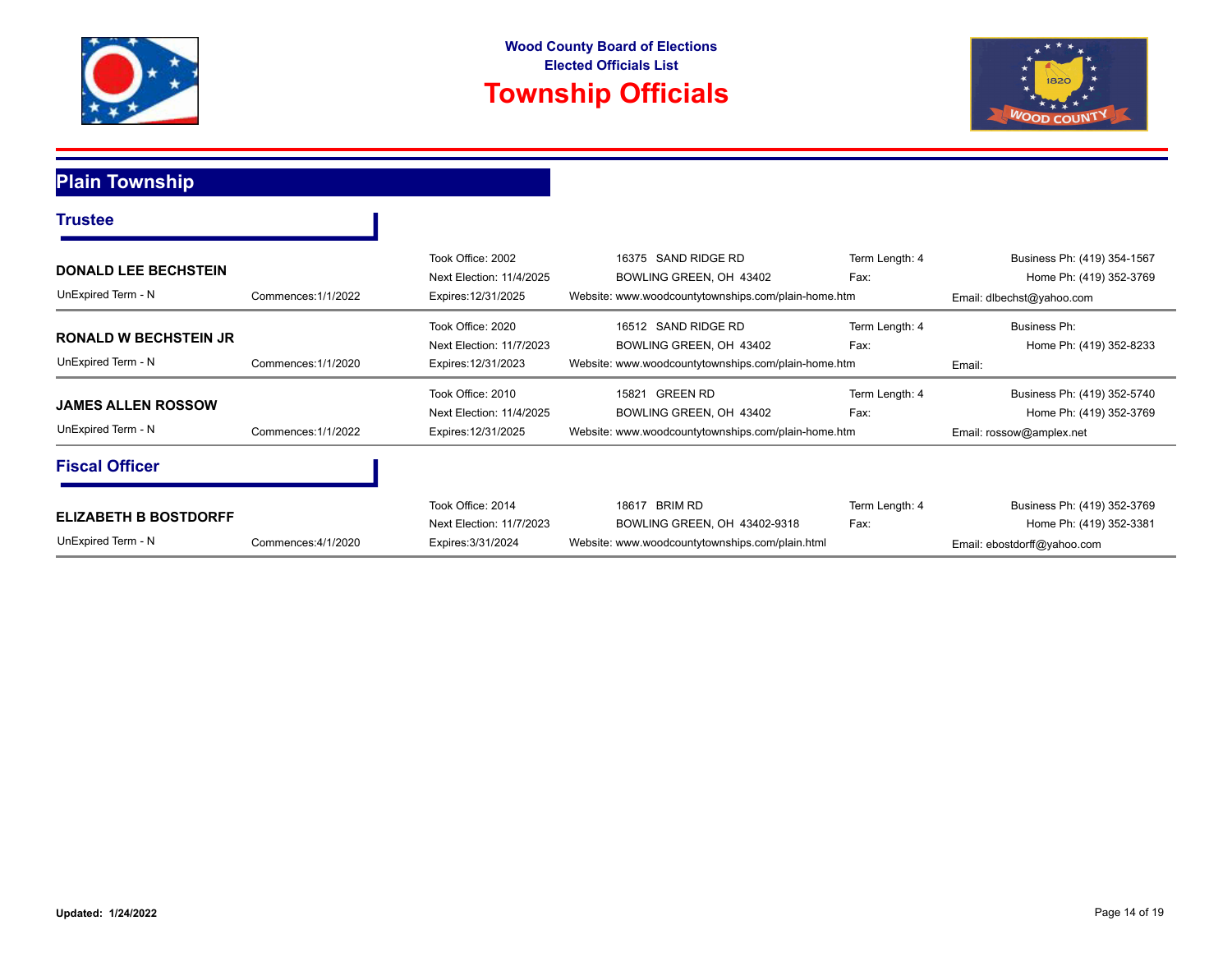



## **Plain Township**

| <b>Trustee</b>                                                           |                     |                                                                      |                                                                                                            |                        |                                                                                       |  |
|--------------------------------------------------------------------------|---------------------|----------------------------------------------------------------------|------------------------------------------------------------------------------------------------------------|------------------------|---------------------------------------------------------------------------------------|--|
| <b>DONALD LEE BECHSTEIN</b><br>UnExpired Term - N<br>Commences: 1/1/2022 |                     | Took Office: 2002<br>Next Election: 11/4/2025<br>Expires: 12/31/2025 | 16375 SAND RIDGE RD<br>BOWLING GREEN, OH 43402<br>Website: www.woodcountytownships.com/plain-home.htm      | Term Length: 4<br>Fax: | Business Ph: (419) 354-1567<br>Home Ph: (419) 352-3769<br>Email: dlbechst@yahoo.com   |  |
| <b>RONALD W BECHSTEIN JR</b><br>UnExpired Term - N                       | Commences: 1/1/2020 | Took Office: 2020<br>Next Election: 11/7/2023<br>Expires: 12/31/2023 | 16512 SAND RIDGE RD<br>BOWLING GREEN, OH 43402<br>Website: www.woodcountytownships.com/plain-home.htm      | Term Length: 4<br>Fax: | Business Ph:<br>Home Ph: (419) 352-8233<br>Email:                                     |  |
| <b>JAMES ALLEN ROSSOW</b><br>UnExpired Term - N                          | Commences: 1/1/2022 | Took Office: 2010<br>Next Election: 11/4/2025<br>Expires: 12/31/2025 | <b>GREEN RD</b><br>15821<br>BOWLING GREEN, OH 43402<br>Website: www.woodcountytownships.com/plain-home.htm | Term Length: 4<br>Fax: | Business Ph: (419) 352-5740<br>Home Ph: (419) 352-3769<br>Email: rossow@amplex.net    |  |
| <b>Fiscal Officer</b>                                                    |                     |                                                                      |                                                                                                            |                        |                                                                                       |  |
| <b>ELIZABETH B BOSTDORFF</b><br>UnExpired Term - N                       | Commences: 4/1/2020 | Took Office: 2014<br>Next Election: 11/7/2023<br>Expires: 3/31/2024  | BRIM RD<br>18617<br>BOWLING GREEN, OH 43402-9318<br>Website: www.woodcountytownships.com/plain.html        | Term Length: 4<br>Fax: | Business Ph: (419) 352-3769<br>Home Ph: (419) 352-3381<br>Email: ebostdorff@yahoo.com |  |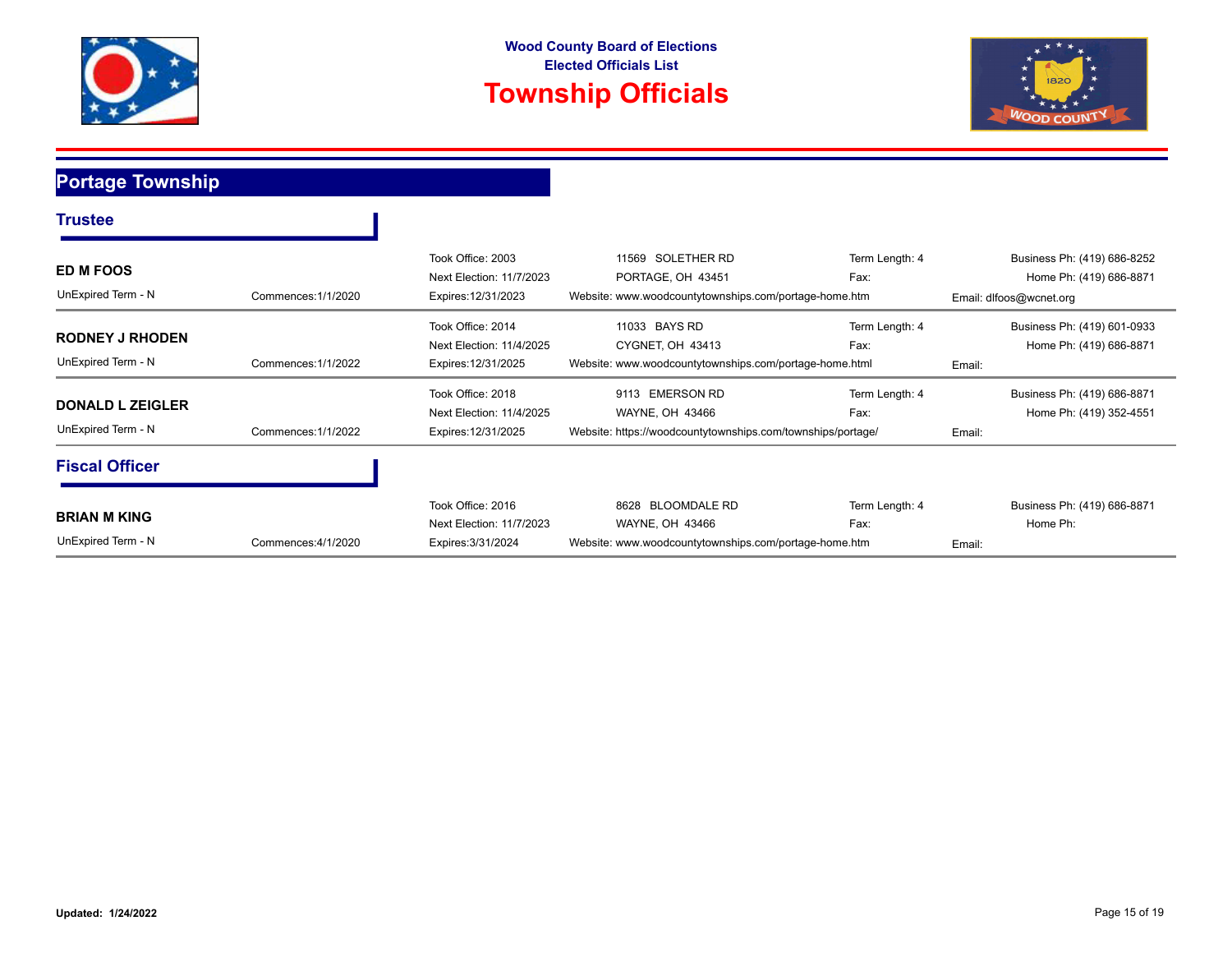



### **Portage Township**

| <b>Trustee</b>                                |                     |                                                                      |                                                                                                    |                        |                                                                                   |
|-----------------------------------------------|---------------------|----------------------------------------------------------------------|----------------------------------------------------------------------------------------------------|------------------------|-----------------------------------------------------------------------------------|
| <b>ED M FOOS</b><br>UnExpired Term - N        | Commences: 1/1/2020 | Took Office: 2003<br>Next Election: 11/7/2023<br>Expires: 12/31/2023 | SOLETHER RD<br>11569<br>PORTAGE, OH 43451<br>Website: www.woodcountytownships.com/portage-home.htm | Term Length: 4<br>Fax: | Business Ph: (419) 686-8252<br>Home Ph: (419) 686-8871<br>Email: dlfoos@wcnet.org |
| <b>RODNEY J RHODEN</b><br>UnExpired Term - N  | Commences: 1/1/2022 | Took Office: 2014<br>Next Election: 11/4/2025<br>Expires: 12/31/2025 | 11033 BAYS RD<br>CYGNET, OH 43413<br>Website: www.woodcountytownships.com/portage-home.html        | Term Length: 4<br>Fax: | Business Ph: (419) 601-0933<br>Home Ph: (419) 686-8871<br>Email:                  |
| <b>DONALD L ZEIGLER</b><br>UnExpired Term - N | Commences: 1/1/2022 | Took Office: 2018<br>Next Election: 11/4/2025<br>Expires: 12/31/2025 | 9113 EMERSON RD<br>WAYNE, OH 43466<br>Website: https://woodcountytownships.com/townships/portage/  | Term Length: 4<br>Fax: | Business Ph: (419) 686-8871<br>Home Ph: (419) 352-4551<br>Email:                  |
| <b>Fiscal Officer</b>                         |                     |                                                                      |                                                                                                    |                        |                                                                                   |
| <b>BRIAN M KING</b><br>UnExpired Term - N     | Commences: 4/1/2020 | Took Office: 2016<br>Next Election: 11/7/2023<br>Expires: 3/31/2024  | 8628 BLOOMDALE RD<br>WAYNE, OH 43466<br>Website: www.woodcountytownships.com/portage-home.htm      | Term Length: 4<br>Fax: | Business Ph: (419) 686-8871<br>Home Ph:<br>Email:                                 |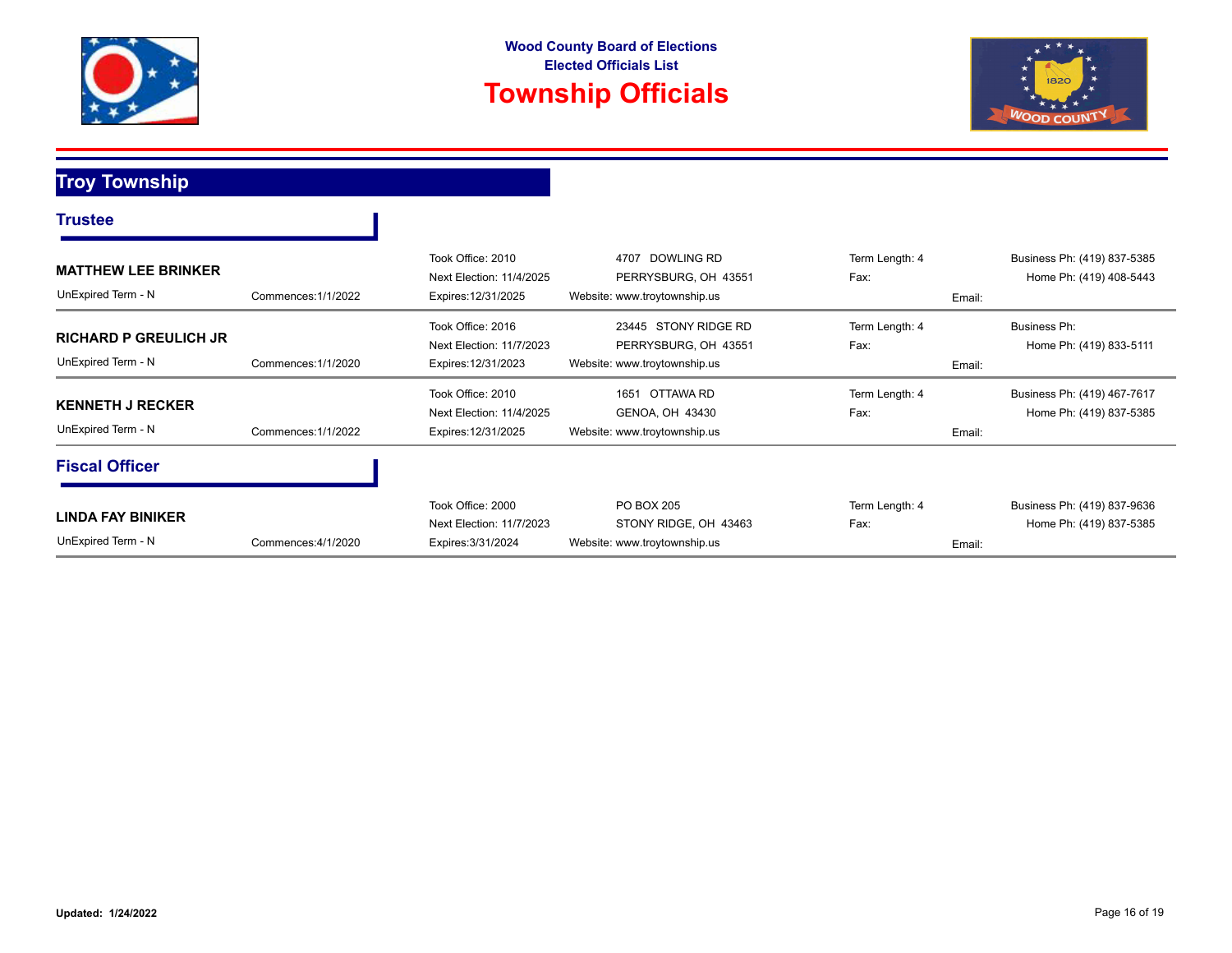



### **Troy Township**

| <b>Trustee</b>                                     |                     |                                                                      |                                                                              |                                  |                                                        |
|----------------------------------------------------|---------------------|----------------------------------------------------------------------|------------------------------------------------------------------------------|----------------------------------|--------------------------------------------------------|
| <b>MATTHEW LEE BRINKER</b><br>UnExpired Term - N   | Commences: 1/1/2022 | Took Office: 2010<br>Next Election: 11/4/2025<br>Expires: 12/31/2025 | DOWLING RD<br>4707<br>PERRYSBURG, OH 43551<br>Website: www.troytownship.us   | Term Length: 4<br>Fax:<br>Email: | Business Ph: (419) 837-5385<br>Home Ph: (419) 408-5443 |
| <b>RICHARD P GREULICH JR</b><br>UnExpired Term - N | Commences: 1/1/2020 | Took Office: 2016<br>Next Election: 11/7/2023<br>Expires: 12/31/2023 | 23445 STONY RIDGE RD<br>PERRYSBURG, OH 43551<br>Website: www.troytownship.us | Term Length: 4<br>Fax:<br>Email: | Business Ph:<br>Home Ph: (419) 833-5111                |
| <b>KENNETH J RECKER</b><br>UnExpired Term - N      | Commences: 1/1/2022 | Took Office: 2010<br>Next Election: 11/4/2025<br>Expires: 12/31/2025 | OTTAWA RD<br>1651<br>GENOA, OH 43430<br>Website: www.troytownship.us         | Term Length: 4<br>Fax:<br>Email: | Business Ph: (419) 467-7617<br>Home Ph: (419) 837-5385 |
| <b>Fiscal Officer</b>                              |                     |                                                                      |                                                                              |                                  |                                                        |
| <b>LINDA FAY BINIKER</b><br>UnExpired Term - N     | Commences: 4/1/2020 | Took Office: 2000<br>Next Election: 11/7/2023<br>Expires: 3/31/2024  | PO BOX 205<br>STONY RIDGE, OH 43463<br>Website: www.troytownship.us          | Term Length: 4<br>Fax:<br>Email: | Business Ph: (419) 837-9636<br>Home Ph: (419) 837-5385 |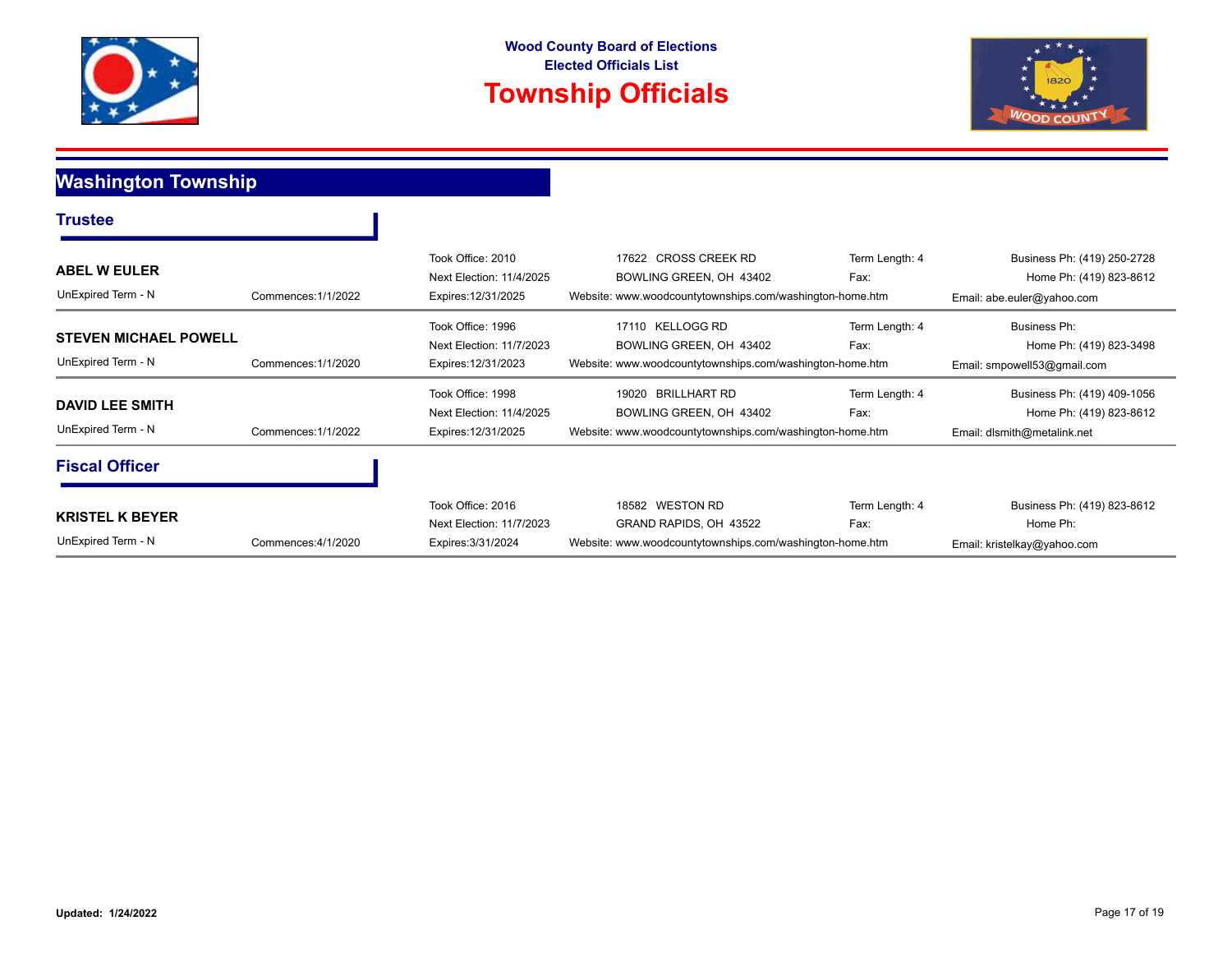



## **Washington Township**

| Trustee                                            |                     |                                                                      |                                                                                                                     |                        |                                                                                       |
|----------------------------------------------------|---------------------|----------------------------------------------------------------------|---------------------------------------------------------------------------------------------------------------------|------------------------|---------------------------------------------------------------------------------------|
| <b>ABEL W EULER</b><br>UnExpired Term - N          | Commences: 1/1/2022 | Took Office: 2010<br>Next Election: 11/4/2025<br>Expires: 12/31/2025 | 17622 CROSS CREEK RD<br>BOWLING GREEN, OH 43402<br>Website: www.woodcountytownships.com/washington-home.htm         | Term Length: 4<br>Fax: | Business Ph: (419) 250-2728<br>Home Ph: (419) 823-8612<br>Email: abe.euler@yahoo.com  |
| <b>STEVEN MICHAEL POWELL</b><br>UnExpired Term - N | Commences: 1/1/2020 | Took Office: 1996<br>Next Election: 11/7/2023<br>Expires: 12/31/2023 | KELLOGG RD<br>17110<br>BOWLING GREEN, OH 43402<br>Website: www.woodcountytownships.com/washington-home.htm          | Term Length: 4<br>Fax: | Business Ph:<br>Home Ph: (419) 823-3498<br>Email: smpowell53@gmail.com                |
| <b>DAVID LEE SMITH</b><br>UnExpired Term - N       | Commences: 1/1/2022 | Took Office: 1998<br>Next Election: 11/4/2025<br>Expires: 12/31/2025 | <b>BRILLHART RD</b><br>19020<br>BOWLING GREEN, OH 43402<br>Website: www.woodcountytownships.com/washington-home.htm | Term Length: 4<br>Fax: | Business Ph: (419) 409-1056<br>Home Ph: (419) 823-8612<br>Email: dlsmith@metalink.net |
| <b>Fiscal Officer</b>                              |                     |                                                                      |                                                                                                                     |                        |                                                                                       |
| <b>KRISTEL K BEYER</b><br>UnExpired Term - N       | Commences: 4/1/2020 | Took Office: 2016<br>Next Election: 11/7/2023<br>Expires: 3/31/2024  | 18582 WESTON RD<br>GRAND RAPIDS, OH 43522<br>Website: www.woodcountytownships.com/washington-home.htm               | Term Length: 4<br>Fax: | Business Ph: (419) 823-8612<br>Home Ph:<br>Email: kristelkay@yahoo.com                |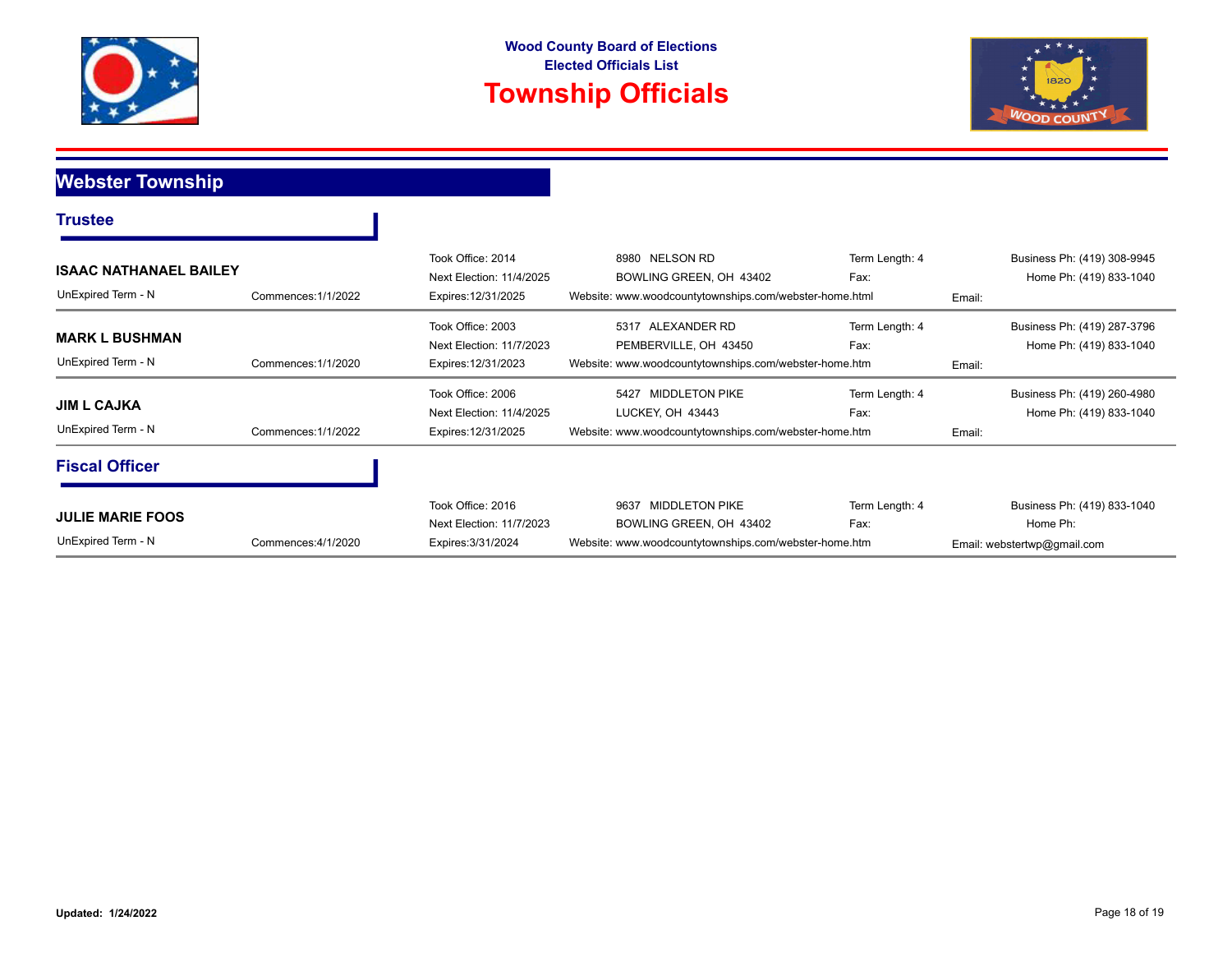



### **Webster Township**

| <b>Trustee</b>                                      |                     |                                                                      |                                                                                                                   |                        |        |                                                                        |
|-----------------------------------------------------|---------------------|----------------------------------------------------------------------|-------------------------------------------------------------------------------------------------------------------|------------------------|--------|------------------------------------------------------------------------|
| <b>ISAAC NATHANAEL BAILEY</b><br>UnExpired Term - N | Commences: 1/1/2022 | Took Office: 2014<br>Next Election: 11/4/2025<br>Expires: 12/31/2025 | 8980 NELSON RD<br>BOWLING GREEN, OH 43402<br>Website: www.woodcountytownships.com/webster-home.html               | Term Length: 4<br>Fax: | Email: | Business Ph: (419) 308-9945<br>Home Ph: (419) 833-1040                 |
| <b>MARK L BUSHMAN</b><br>UnExpired Term - N         | Commences: 1/1/2020 | Took Office: 2003<br>Next Election: 11/7/2023<br>Expires: 12/31/2023 | 5317 ALEXANDER RD<br>PEMBERVILLE, OH 43450<br>Website: www.woodcountytownships.com/webster-home.htm               | Term Length: 4<br>Fax: | Email: | Business Ph: (419) 287-3796<br>Home Ph: (419) 833-1040                 |
| <b>JIM L CAJKA</b><br>UnExpired Term - N            | Commences: 1/1/2022 | Took Office: 2006<br>Next Election: 11/4/2025<br>Expires: 12/31/2025 | <b>MIDDLETON PIKE</b><br>5427<br>LUCKEY, OH 43443<br>Website: www.woodcountytownships.com/webster-home.htm        | Term Length: 4<br>Fax: | Email: | Business Ph: (419) 260-4980<br>Home Ph: (419) 833-1040                 |
| <b>Fiscal Officer</b>                               |                     |                                                                      |                                                                                                                   |                        |        |                                                                        |
| <b>JULIE MARIE FOOS</b><br>UnExpired Term - N       | Commences: 4/1/2020 | Took Office: 2016<br>Next Election: 11/7/2023<br>Expires: 3/31/2024  | <b>MIDDLETON PIKE</b><br>9637<br>BOWLING GREEN, OH 43402<br>Website: www.woodcountytownships.com/webster-home.htm | Term Length: 4<br>Fax: |        | Business Ph: (419) 833-1040<br>Home Ph:<br>Email: webstertwp@gmail.com |